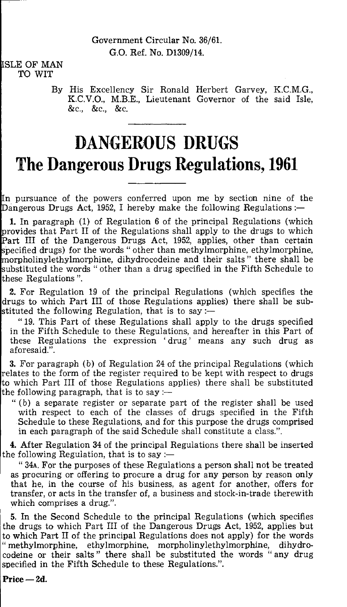## SLE OF MAN TO WIT

By His Excellency Sir Ronald Herbert Garvey, K.C.M.G., K.C.V.O., M.B.E., Lieutenant Governor of the said Isle, &c., &c., &c.

# **DANGEROUS DRUGS The Dangerous Drugs Regulations, 1961**

n pursuance of the powers conferred upon me by section nine of the Dangerous Drugs Act, 1952, I hereby make the following Regulations :-

1. In paragraph (1) of Regulation 6 of the principal Regulations (which provides that Part II of the Regulations shall apply to the drugs to which Part III of the Dangerous Drugs Act, 1952, applies, other than certain pecified drugs) for the words " other than methylmorphine, ethylmorphine, orpholinylethylmorphine, dihydrocodeine and their salts " there shall be substituted the words " other than a drug specified in the Fifth Schedule to these Regulations ".

2. For Regulation 19 of the principal Regulations (which specifies the drugs to which Part III of those Regulations applies) there shall be substituted the following Regulation, that is to say :-

" 19. This Part of these Regulations shall apply to the drugs specified in the Fifth Schedule to these Regulations, and hereafter in this Part of these Regulations the expression 'drug' means any such drug as aforesaid.".

3. For paragraph (b) of Regulation 24 of the principal Regulations (which relates to the form of the register required to be kept with respect to drugs to which Part III of those Regulations applies) there shall be substituted the following paragraph, that is to say  $-$ 

" (b) a separate register or separate part of the register shall be used with respect to each of the classes of drugs specified in the Fifth Schedule to these Regulations, and for this purpose the drugs comprised in each paragraph of the said Schedule shall constitute a class.".

4. After Regulation 34 of the principal Regulations there shall be inserted the following Regulation, that is to say :—

" 34A. For the purposes of these Regulations a person shall not be treated as procuring or offering to procure a drug for any person by reason only that he, in the course of his business, as agent for another, offers for transfer, or acts in the transfer of, a business and stock-in-trade therewith which comprises a drug.".

5. In the Second Schedule to the principal Regulations (which specifies the drugs to which Part III of the Dangerous Drugs Act, 1952, applies but to which Part II of the principal Regulations does not apply) for the words " methylmorphine, ethylmorphine, morpholinylethylmorphine, dihydrocodeine or their salts " there shall be substituted the words " any drug specified in the Fifth Schedule to these Regulations.".

Price — 2d.